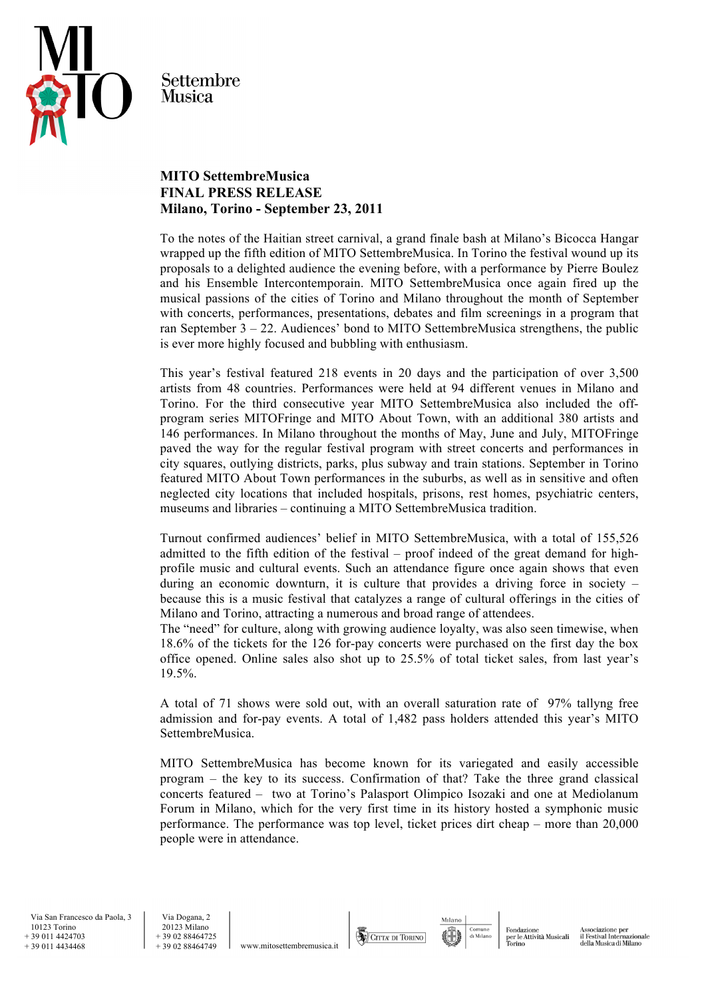

Settembre **Musica** 

## **MITO SettembreMusica FINAL PRESS RELEASE Milano, Torino - September 23, 2011**

To the notes of the Haitian street carnival, a grand finale bash at Milano's Bicocca Hangar wrapped up the fifth edition of MITO SettembreMusica. In Torino the festival wound up its proposals to a delighted audience the evening before, with a performance by Pierre Boulez and his Ensemble Intercontemporain. MITO SettembreMusica once again fired up the musical passions of the cities of Torino and Milano throughout the month of September with concerts, performances, presentations, debates and film screenings in a program that ran September 3 – 22. Audiences' bond to MITO SettembreMusica strengthens, the public is ever more highly focused and bubbling with enthusiasm.

This year's festival featured 218 events in 20 days and the participation of over 3,500 artists from 48 countries. Performances were held at 94 different venues in Milano and Torino. For the third consecutive year MITO SettembreMusica also included the offprogram series MITOFringe and MITO About Town, with an additional 380 artists and 146 performances. In Milano throughout the months of May, June and July, MITOFringe paved the way for the regular festival program with street concerts and performances in city squares, outlying districts, parks, plus subway and train stations. September in Torino featured MITO About Town performances in the suburbs, as well as in sensitive and often neglected city locations that included hospitals, prisons, rest homes, psychiatric centers, museums and libraries – continuing a MITO SettembreMusica tradition.

Turnout confirmed audiences' belief in MITO SettembreMusica, with a total of 155,526 admitted to the fifth edition of the festival – proof indeed of the great demand for highprofile music and cultural events. Such an attendance figure once again shows that even during an economic downturn, it is culture that provides a driving force in society – because this is a music festival that catalyzes a range of cultural offerings in the cities of Milano and Torino, attracting a numerous and broad range of attendees.

The "need" for culture, along with growing audience loyalty, was also seen timewise, when 18.6% of the tickets for the 126 for-pay concerts were purchased on the first day the box office opened. Online sales also shot up to 25.5% of total ticket sales, from last year's 19.5%.

A total of 71 shows were sold out, with an overall saturation rate of 97% tallyng free admission and for-pay events. A total of 1,482 pass holders attended this year's MITO SettembreMusica.

MITO SettembreMusica has become known for its variegated and easily accessible program – the key to its success. Confirmation of that? Take the three grand classical concerts featured – two at Torino's Palasport Olimpico Isozaki and one at Mediolanum Forum in Milano, which for the very first time in its history hosted a symphonic music performance. The performance was top level, ticket prices dirt cheap – more than 20,000 people were in attendance.

www.mitosettembremusica.it





Milano

sociazione per Associazione per<br>il Festival Internazionale<br>della Musica di Milano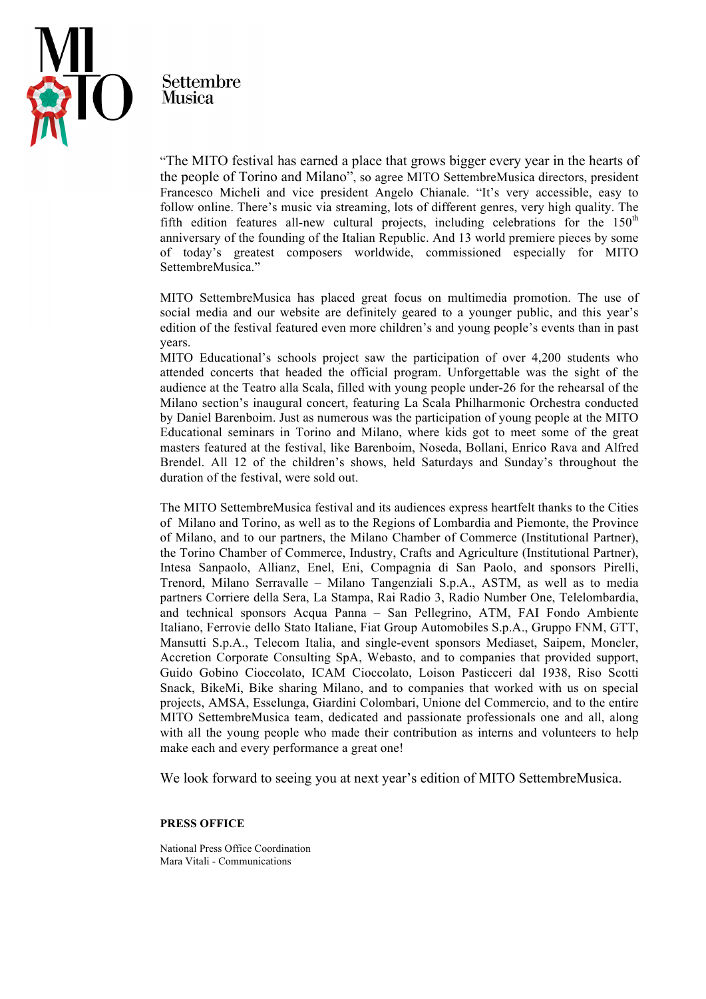

Settembre Musica

"The MITO festival has earned a place that grows bigger every year in the hearts of the people of Torino and Milano", so agree MITO SettembreMusica directors, president Francesco Micheli and vice president Angelo Chianale. "It's very accessible, easy to follow online. There's music via streaming, lots of different genres, very high quality. The fifth edition features all-new cultural projects, including celebrations for the  $150<sup>th</sup>$ anniversary of the founding of the Italian Republic. And 13 world premiere pieces by some of today's greatest composers worldwide, commissioned especially for MITO SettembreMusica<sup>"</sup>

MITO SettembreMusica has placed great focus on multimedia promotion. The use of social media and our website are definitely geared to a younger public, and this year's edition of the festival featured even more children's and young people's events than in past years.

MITO Educational's schools project saw the participation of over 4,200 students who attended concerts that headed the official program. Unforgettable was the sight of the audience at the Teatro alla Scala, filled with young people under-26 for the rehearsal of the Milano section's inaugural concert, featuring La Scala Philharmonic Orchestra conducted by Daniel Barenboim. Just as numerous was the participation of young people at the MITO Educational seminars in Torino and Milano, where kids got to meet some of the great masters featured at the festival, like Barenboim, Noseda, Bollani, Enrico Rava and Alfred Brendel. All 12 of the children's shows, held Saturdays and Sunday's throughout the duration of the festival, were sold out.

The MITO SettembreMusica festival and its audiences express heartfelt thanks to the Cities of Milano and Torino, as well as to the Regions of Lombardia and Piemonte, the Province of Milano, and to our partners, the Milano Chamber of Commerce (Institutional Partner), the Torino Chamber of Commerce, Industry, Crafts and Agriculture (Institutional Partner), Intesa Sanpaolo, Allianz, Enel, Eni, Compagnia di San Paolo, and sponsors Pirelli, Trenord, Milano Serravalle – Milano Tangenziali S.p.A., ASTM, as well as to media partners Corriere della Sera, La Stampa, Rai Radio 3, Radio Number One, Telelombardia, and technical sponsors Acqua Panna – San Pellegrino, ATM, FAI Fondo Ambiente Italiano, Ferrovie dello Stato Italiane, Fiat Group Automobiles S.p.A., Gruppo FNM, GTT, Mansutti S.p.A., Telecom Italia, and single-event sponsors Mediaset, Saipem, Moncler, Accretion Corporate Consulting SpA, Webasto, and to companies that provided support, Guido Gobino Cioccolato, ICAM Cioccolato, Loison Pasticceri dal 1938, Riso Scotti Snack, BikeMi, Bike sharing Milano, and to companies that worked with us on special projects, AMSA, Esselunga, Giardini Colombari, Unione del Commercio, and to the entire MITO SettembreMusica team, dedicated and passionate professionals one and all, along with all the young people who made their contribution as interns and volunteers to help make each and every performance a great one!

We look forward to seeing you at next year's edition of MITO SettembreMusica.

## **PRESS OFFICE**

National Press Office Coordination Mara Vitali - Communications